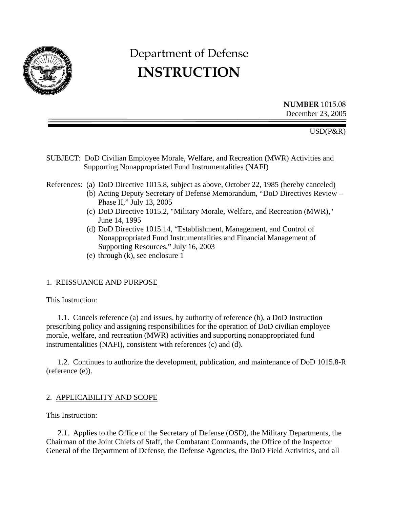

# Department of Defense **INSTRUCTION**

 **NUMBER** 1015.08 December 23, 2005

USD(P&R)

SUBJECT: DoD Civilian Employee Morale, Welfare, and Recreation (MWR) Activities and Supporting Nonappropriated Fund Instrumentalities (NAFI)

References: (a) DoD Directive 1015.8, subject as above, October 22, 1985 (hereby canceled)

- (b) Acting Deputy Secretary of Defense Memorandum, "DoD Directives Review Phase II," July 13, 2005
- (c) DoD Directive 1015.2, "Military Morale, Welfare, and Recreation (MWR)," June 14, 1995
- (d) DoD Directive 1015.14, "Establishment, Management, and Control of Nonappropriated Fund Instrumentalities and Financial Management of Supporting Resources," July 16, 2003
- (e) through (k), see enclosure 1

#### 1. REISSUANCE AND PURPOSE

This Instruction:

1.1. Cancels reference (a) and issues, by authority of reference (b), a DoD Instruction prescribing policy and assigning responsibilities for the operation of DoD civilian employee morale, welfare, and recreation (MWR) activities and supporting nonappropriated fund instrumentalities (NAFI), consistent with references (c) and (d).

1.2. Continues to authorize the development, publication, and maintenance of DoD 1015.8-R (reference (e)).

#### 2. APPLICABILITY AND SCOPE

This Instruction:

2.1. Applies to the Office of the Secretary of Defense (OSD), the Military Departments, the Chairman of the Joint Chiefs of Staff, the Combatant Commands, the Office of the Inspector General of the Department of Defense, the Defense Agencies, the DoD Field Activities, and all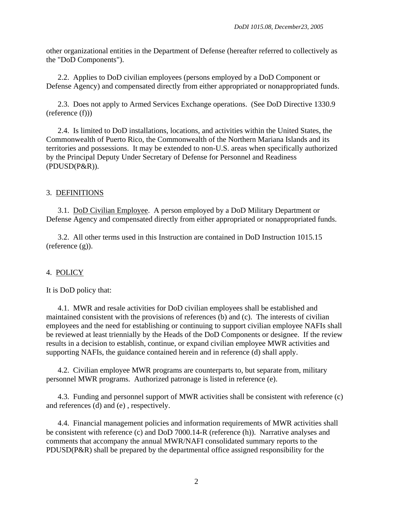other organizational entities in the Department of Defense (hereafter referred to collectively as the "DoD Components").

2.2. Applies to DoD civilian employees (persons employed by a DoD Component or Defense Agency) and compensated directly from either appropriated or nonappropriated funds.

2.3. Does not apply to Armed Services Exchange operations. (See DoD Directive 1330.9 (reference (f)))

2.4. Is limited to DoD installations, locations, and activities within the United States, the Commonwealth of Puerto Rico, the Commonwealth of the Northern Mariana Islands and its territories and possessions. It may be extended to non-U.S. areas when specifically authorized by the Principal Deputy Under Secretary of Defense for Personnel and Readiness (PDUSD(P&R)).

### 3. DEFINITIONS

 3.1. DoD Civilian Employee. A person employed by a DoD Military Department or Defense Agency and compensated directly from either appropriated or nonappropriated funds.

3.2. All other terms used in this Instruction are contained in DoD Instruction 1015.15 (reference (g)).

#### 4. POLICY

It is DoD policy that:

4.1. MWR and resale activities for DoD civilian employees shall be established and maintained consistent with the provisions of references (b) and (c). The interests of civilian employees and the need for establishing or continuing to support civilian employee NAFIs shall be reviewed at least triennially by the Heads of the DoD Components or designee. If the review results in a decision to establish, continue, or expand civilian employee MWR activities and supporting NAFIs, the guidance contained herein and in reference (d) shall apply.

4.2. Civilian employee MWR programs are counterparts to, but separate from, military personnel MWR programs. Authorized patronage is listed in reference (e).

4.3. Funding and personnel support of MWR activities shall be consistent with reference (c) and references (d) and (e) , respectively.

4.4. Financial management policies and information requirements of MWR activities shall be consistent with reference (c) and DoD 7000.14-R (reference (h)). Narrative analyses and comments that accompany the annual MWR/NAFI consolidated summary reports to the PDUSD(P&R) shall be prepared by the departmental office assigned responsibility for the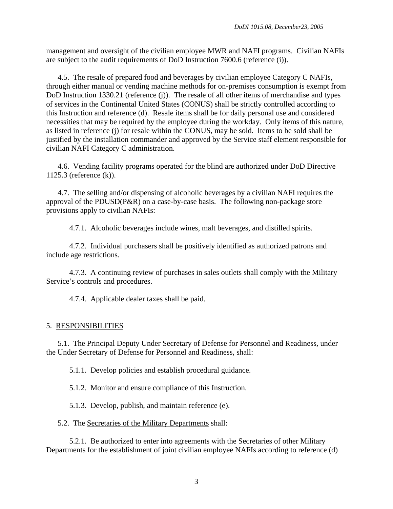management and oversight of the civilian employee MWR and NAFI programs. Civilian NAFIs are subject to the audit requirements of DoD Instruction 7600.6 (reference (i)).

4.5. The resale of prepared food and beverages by civilian employee Category C NAFIs, through either manual or vending machine methods for on-premises consumption is exempt from DoD Instruction 1330.21 (reference (j)). The resale of all other items of merchandise and types of services in the Continental United States (CONUS) shall be strictly controlled according to this Instruction and reference (d). Resale items shall be for daily personal use and considered necessities that may be required by the employee during the workday. Only items of this nature, as listed in reference (j) for resale within the CONUS, may be sold. Items to be sold shall be justified by the installation commander and approved by the Service staff element responsible for civilian NAFI Category C administration.

4.6. Vending facility programs operated for the blind are authorized under DoD Directive 1125.3 (reference (k)).

4.7. The selling and/or dispensing of alcoholic beverages by a civilian NAFI requires the approval of the PDUSD(P&R) on a case-by-case basis. The following non-package store provisions apply to civilian NAFIs:

4.7.1. Alcoholic beverages include wines, malt beverages, and distilled spirits.

4.7.2. Individual purchasers shall be positively identified as authorized patrons and include age restrictions.

4.7.3. A continuing review of purchases in sales outlets shall comply with the Military Service's controls and procedures.

4.7.4. Applicable dealer taxes shall be paid.

## 5. RESPONSIBILITIES

5.1. The Principal Deputy Under Secretary of Defense for Personnel and Readiness, under the Under Secretary of Defense for Personnel and Readiness, shall:

5.1.1. Develop policies and establish procedural guidance.

5.1.2. Monitor and ensure compliance of this Instruction.

5.1.3. Develop, publish, and maintain reference (e).

5.2. The Secretaries of the Military Departments shall:

5.2.1. Be authorized to enter into agreements with the Secretaries of other Military Departments for the establishment of joint civilian employee NAFIs according to reference (d)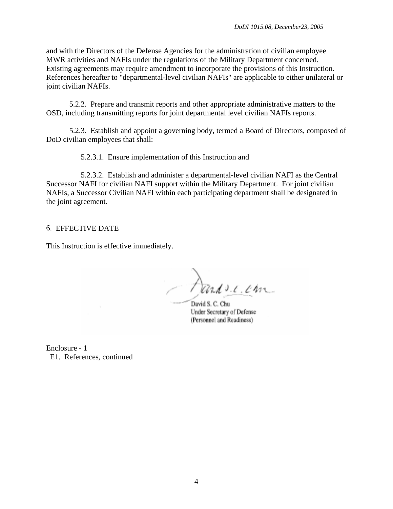and with the Directors of the Defense Agencies for the administration of civilian employee MWR activities and NAFIs under the regulations of the Military Department concerned. Existing agreements may require amendment to incorporate the provisions of this Instruction. References hereafter to "departmental-level civilian NAFIs" are applicable to either unilateral or joint civilian NAFIs.

5.2.2. Prepare and transmit reports and other appropriate administrative matters to the OSD, including transmitting reports for joint departmental level civilian NAFIs reports.

5.2.3. Establish and appoint a governing body, termed a Board of Directors, composed of DoD civilian employees that shall:

5.2.3.1. Ensure implementation of this Instruction and

5.2.3.2. Establish and administer a departmental-level civilian NAFI as the Central Successor NAFI for civilian NAFI support within the Military Department. For joint civilian NAFIs, a Successor Civilian NAFI within each participating department shall be designated in the joint agreement.

#### 6. EFFECTIVE DATE

This Instruction is effective immediately.

Dando.c.com

David S. C. Chu Under Secretary of Defense (Personnel and Readiness)

Enclosure - 1 E1. References, continued